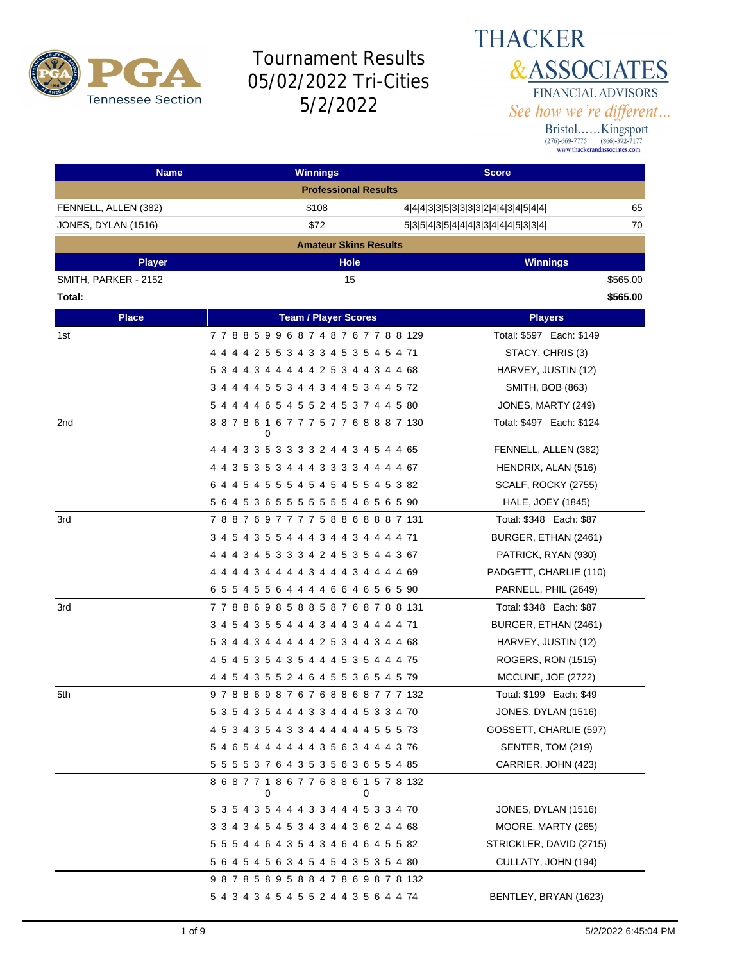

#### **THACKER &ASSOCIATES** FINANCIAL ADVISORS See how we're different...

| <b>Name</b>          | <b>Winnings</b>                                   | <b>Score</b>                              |
|----------------------|---------------------------------------------------|-------------------------------------------|
|                      | <b>Professional Results</b>                       |                                           |
| FENNELL, ALLEN (382) | \$108                                             | 65<br>4 4 4 3 3 5 3 3 3 3 2 4 4 3 4 5 4 4 |
| JONES, DYLAN (1516)  | \$72                                              | 70<br>5 3 5 4 3 5 4 4 4 3 3 4 4 4 5 3 3 4 |
|                      | <b>Amateur Skins Results</b>                      |                                           |
| <b>Player</b>        | <b>Hole</b>                                       | <b>Winnings</b>                           |
| SMITH, PARKER - 2152 | 15                                                | \$565.00                                  |
| Total:               |                                                   | \$565.00                                  |
| <b>Place</b>         | <b>Team / Player Scores</b>                       | <b>Players</b>                            |
| 1st                  | 778859968748767788129                             | Total: \$597 Each: \$149                  |
|                      | 4 4 4 4 2 5 5 3 4 3 3 4 5 3 5 4 5 4 71            | STACY, CHRIS (3)                          |
|                      | 5 3 4 4 3 4 4 4 4 4 2 5 3 4 4 3 4 4 68            | HARVEY, JUSTIN (12)                       |
|                      | 3 4 4 4 4 5 5 3 4 4 3 4 4 5 3 4 4 5 72            | <b>SMITH, BOB (863)</b>                   |
|                      | 5 4 4 4 4 6 5 4 5 5 2 4 5 3 7 4 4 5 80            | JONES, MARTY (249)                        |
| 2nd                  | 8 8 7 8 6 1 6 7 7 7 5 7 7 6 8 8 8 7 130<br>0      | Total: \$497 Each: \$124                  |
|                      | 4 4 4 3 3 5 3 3 3 3 2 4 4 3 4 5 4 4 65            | FENNELL, ALLEN (382)                      |
|                      | 4 4 3 5 3 5 3 4 4 4 3 3 3 3 4 4 4 4 67            | HENDRIX, ALAN (516)                       |
|                      | 6 4 4 5 4 5 5 5 4 5 4 5 4 5 5 4 5 3 82            | SCALF, ROCKY (2755)                       |
|                      | 5 6 4 5 3 6 5 5 5 5 5 5 5 5 4 6 5 6 5 90          | HALE, JOEY (1845)                         |
| 3rd                  | 788769777758868887131                             | Total: \$348 Each: \$87                   |
|                      | 3 4 5 4 3 5 5 4 4 4 3 4 4 3 4 4 4 4 71            | BURGER, ETHAN (2461)                      |
|                      | 4 4 4 3 4 5 3 3 3 4 2 4 5 3 5 4 4 3 67            | PATRICK, RYAN (930)                       |
|                      | 4 4 4 4 3 4 4 4 4 3 4 4 4 3 4 4 4 4 69            | PADGETT, CHARLIE (110)                    |
|                      | 6 5 5 4 5 5 6 4 4 4 4 6 6 4 6 5 6 5 90            | PARNELL, PHIL (2649)                      |
| 3rd                  | 7 7 8 8 6 9 8 5 8 8 5 8 7 6 8 7 8 8 131           | Total: \$348 Each: \$87                   |
|                      | 3 4 5 4 3 5 5 4 4 4 3 4 4 3 4 4 4 4 71            | BURGER, ETHAN (2461)                      |
|                      | 5 3 4 4 3 4 4 4 4 4 2 5 3 4 4 3 4 4 68            | HARVEY, JUSTIN (12)                       |
|                      | 4 5 4 5 3 5 4 3 5 4 4 4 5 3 5 4 4 4 75            | ROGERS, RON (1515)                        |
|                      | 4 4 5 4 3 5 5 2 4 6 4 5 5 3 6 5 4 5 79            | MCCUNE, JOE (2722)                        |
| 5th                  | 978869876768868777132                             | Total: \$199 Each: \$49                   |
|                      | 5 3 5 4 3 5 4 4 4 3 3 4 4 4 5 3 3 4 70            | JONES, DYLAN (1516)                       |
|                      | 4 5 3 4 3 5 4 3 3 4 4 4 4 4 4 5 5 5 73            | GOSSETT, CHARLIE (597)                    |
|                      | 5 4 6 5 4 4 4 4 4 4 3 5 6 3 4 4 4 3 76            | SENTER, TOM (219)                         |
|                      | 5 5 5 5 3 7 6 4 3 5 3 5 6 3 6 5 5 4 85            | CARRIER, JOHN (423)                       |
|                      | 8 6 8 7 7 1 8 6 7 7 6 8 8 6 1 5 7 8 132<br>0<br>0 |                                           |
|                      | 5 3 5 4 3 5 4 4 4 3 3 4 4 4 5 3 3 4 70            | JONES, DYLAN (1516)                       |
|                      | 3 3 4 3 4 5 4 5 3 4 3 4 4 3 6 2 4 4 68            | MOORE, MARTY (265)                        |
|                      | 5 5 5 4 4 6 4 3 5 4 3 4 6 4 6 4 5 5 82            | STRICKLER, DAVID (2715)                   |
|                      | 5 6 4 5 4 5 6 3 4 5 4 5 4 3 5 3 5 4 80            | CULLATY, JOHN (194)                       |
|                      | 987858958847869878132                             |                                           |
|                      | 5 4 3 4 3 4 5 4 5 5 2 4 4 3 5 6 4 4 74            | BENTLEY, BRYAN (1623)                     |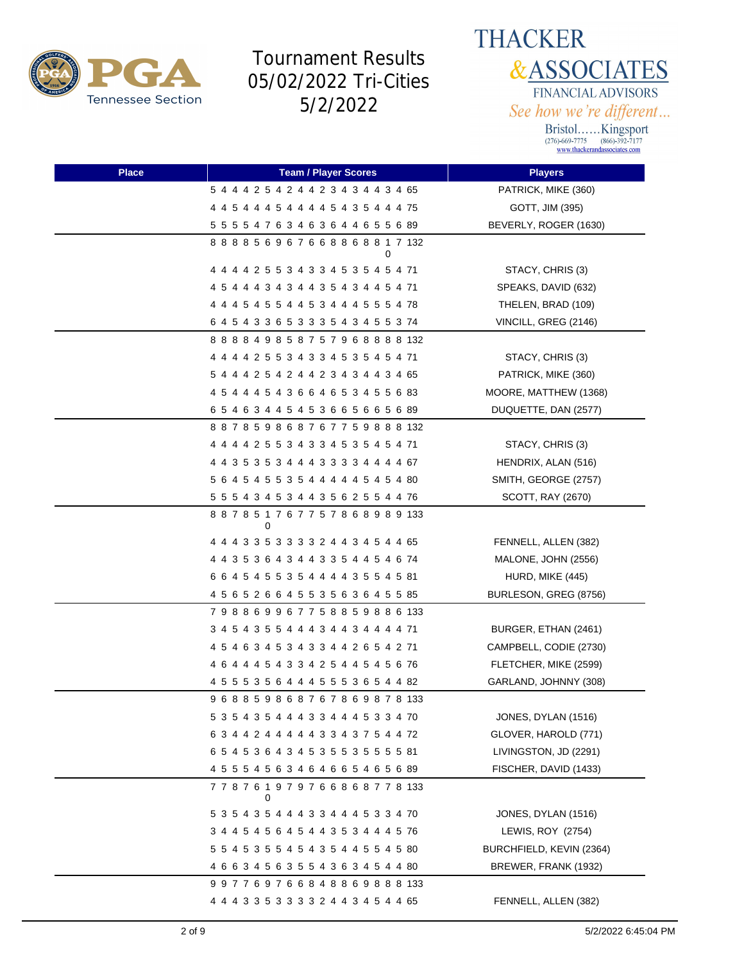



| <b>Place</b> | <b>Team / Player Scores</b>                  | <b>Players</b>           |
|--------------|----------------------------------------------|--------------------------|
|              | 5 4 4 4 2 5 4 2 4 4 2 3 4 3 4 4 3 4 65       | PATRICK, MIKE (360)      |
|              | 4 4 5 4 4 4 5 4 4 4 4 5 4 3 5 4 4 4 75       | GOTT, JIM (395)          |
|              | 5 5 5 5 4 7 6 3 4 6 3 6 4 4 6 5 5 6 89       | BEVERLY, ROGER (1630)    |
|              | 888856967668868817132<br>0                   |                          |
|              | 4 4 4 4 2 5 5 3 4 3 3 4 5 3 5 4 5 4 71       | STACY, CHRIS (3)         |
|              | 4 5 4 4 4 3 4 3 4 4 3 5 4 3 4 4 5 4 71       | SPEAKS, DAVID (632)      |
|              | 4 4 4 5 4 5 5 4 4 5 3 4 4 4 5 5 5 4 78       | THELEN, BRAD (109)       |
|              | 6 4 5 4 3 3 6 5 3 3 3 5 4 3 4 5 5 3 74       | VINCILL, GREG (2146)     |
|              | 8 8 8 8 4 9 8 5 8 7 5 7 9 6 8 8 8 8 132      |                          |
|              | 4 4 4 4 2 5 5 3 4 3 3 4 5 3 5 4 5 4 71       | STACY, CHRIS (3)         |
|              | 5 4 4 4 2 5 4 2 4 4 2 3 4 3 4 4 3 4 65       | PATRICK, MIKE (360)      |
|              | 4 5 4 4 4 5 4 3 6 6 4 6 5 3 4 5 5 6 83       | MOORE, MATTHEW (1368)    |
|              | 65463445453665665689                         | DUQUETTE, DAN (2577)     |
|              | 887859868767759888132                        |                          |
|              | 4 4 4 4 2 5 5 3 4 3 3 4 5 3 5 4 5 4 71       | STACY, CHRIS (3)         |
|              | 4 4 3 5 3 5 3 4 4 4 3 3 3 3 4 4 4 4 67       | HENDRIX, ALAN (516)      |
|              | 5 6 4 5 4 5 5 3 5 4 4 4 4 4 5 4 5 4 80       | SMITH, GEORGE (2757)     |
|              | 5 5 5 4 3 4 5 3 4 4 3 5 6 2 5 5 4 4 76       | SCOTT, RAY (2670)        |
|              | 887851767757868989133<br>0                   |                          |
|              | 4 4 4 3 3 5 3 3 3 3 2 4 4 3 4 5 4 4 65       | FENNELL, ALLEN (382)     |
|              | 4 4 3 5 3 6 4 3 4 4 3 3 5 4 4 5 4 6 74       | MALONE, JOHN (2556)      |
|              | 6 6 4 5 4 5 5 3 5 4 4 4 4 3 5 5 4 5 81       | HURD, MIKE (445)         |
|              | 4 5 6 5 2 6 6 4 5 5 3 5 6 3 6 4 5 5 85       | BURLESON, GREG (8756)    |
|              | 798869967758859886133                        |                          |
|              | 3 4 5 4 3 5 5 4 4 4 3 4 4 3 4 4 4 4 71       | BURGER, ETHAN (2461)     |
|              | 4 5 4 6 3 4 5 3 4 3 3 4 4 2 6 5 4 2 71       | CAMPBELL, CODIE (2730)   |
|              | 4 6 4 4 4 5 4 3 3 4 2 5 4 4 5 4 5 6 76       | FLETCHER, MIKE (2599)    |
|              | 4 5 5 5 3 5 6 4 4 4 5 5 5 3 6 5 4 4 82       | GARLAND, JOHNNY (308)    |
|              | 9 6 8 8 5 9 8 6 8 7 6 7 8 6 9 8 7 8 133      |                          |
|              | 5 3 5 4 3 5 4 4 4 3 3 4 4 4 5 3 3 4 70       | JONES, DYLAN (1516)      |
|              | 6 3 4 4 2 4 4 4 4 4 3 3 4 3 7 5 4 4 72       | GLOVER, HAROLD (771)     |
|              | 6 5 4 5 3 6 4 3 4 5 3 5 5 3 5 5 5 5 81       | LIVINGSTON, JD (2291)    |
|              | 4 5 5 5 4 5 6 3 4 6 4 6 6 5 4 6 5 6 89       | FISCHER, DAVID (1433)    |
|              | 7 7 8 7 6 1 9 7 9 7 6 6 8 6 8 7 7 8 133<br>0 |                          |
|              | 5 3 5 4 3 5 4 4 4 3 3 4 4 4 5 3 3 4 70       | JONES, DYLAN (1516)      |
|              | 3 4 4 5 4 5 6 4 5 4 4 3 5 3 4 4 4 5 76       | LEWIS, ROY (2754)        |
|              | 5 5 4 5 3 5 5 4 5 4 3 5 4 4 5 5 4 5 80       | BURCHFIELD, KEVIN (2364) |
|              | 4 6 6 3 4 5 6 3 5 5 4 3 6 3 4 5 4 4 80       | BREWER, FRANK (1932)     |
|              | 997769766848869888133                        |                          |
|              | 4 4 4 3 3 5 3 3 3 3 2 4 4 3 4 5 4 4 65       | FENNELL, ALLEN (382)     |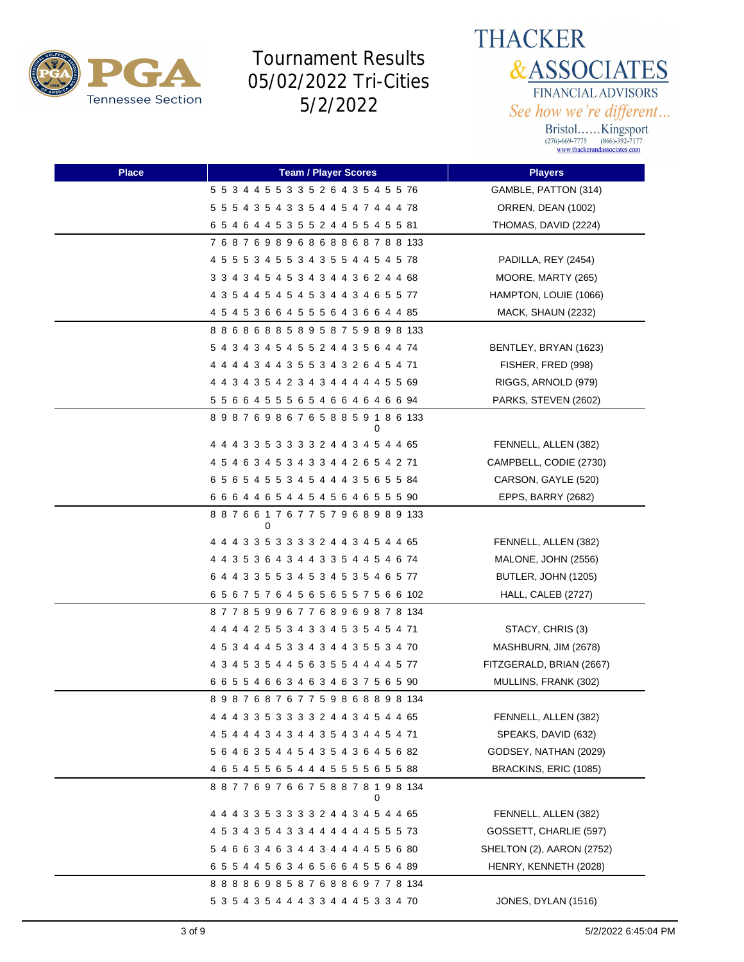



| <b>Place</b> | <b>Team / Player Scores</b>             | <b>Players</b>            |
|--------------|-----------------------------------------|---------------------------|
|              | 5 5 3 4 4 5 5 3 3 5 2 6 4 3 5 4 5 5 76  | GAMBLE, PATTON (314)      |
|              | 5 5 5 4 3 5 4 3 3 5 4 4 5 4 7 4 4 4 78  | ORREN, DEAN (1002)        |
|              | 6 5 4 6 4 4 5 3 5 5 2 4 4 5 5 4 5 5 81  | THOMAS, DAVID (2224)      |
|              | 768769896868868788133                   |                           |
|              | 4 5 5 5 3 4 5 5 3 4 3 5 5 4 4 5 4 5 78  | PADILLA, REY (2454)       |
|              | 3 3 4 3 4 5 4 5 3 4 3 4 4 3 6 2 4 4 68  | MOORE, MARTY (265)        |
|              | 4 3 5 4 4 5 4 5 4 5 3 4 4 3 4 6 5 5 77  | HAMPTON, LOUIE (1066)     |
|              | 4 5 4 5 3 6 6 4 5 5 5 6 4 3 6 6 4 4 85  | MACK, SHAUN (2232)        |
|              | 8 8 6 8 6 8 8 5 8 9 5 8 7 5 9 8 9 8 133 |                           |
|              | 5 4 3 4 3 4 5 4 5 5 2 4 4 3 5 6 4 4 74  | BENTLEY, BRYAN (1623)     |
|              | 4 4 4 4 3 4 4 3 5 5 3 4 3 2 6 4 5 4 71  | FISHER, FRED (998)        |
|              | 4 4 3 4 3 5 4 2 3 4 3 4 4 4 4 4 5 5 69  | RIGGS, ARNOLD (979)       |
|              | 5 5 6 6 4 5 5 5 6 5 4 6 6 4 6 4 6 6 94  | PARKS, STEVEN (2602)      |
|              | 898769867658859186133<br>0              |                           |
|              | 4 4 4 3 3 5 3 3 3 3 2 4 4 3 4 5 4 4 65  | FENNELL, ALLEN (382)      |
|              | 4 5 4 6 3 4 5 3 4 3 3 4 4 2 6 5 4 2 71  | CAMPBELL, CODIE (2730)    |
|              | 6 5 6 5 4 5 5 3 4 5 4 4 4 3 5 6 5 5 84  | CARSON, GAYLE (520)       |
|              | 6 6 6 4 4 6 5 4 4 5 4 5 6 4 6 5 5 5 90  | EPPS, BARRY (2682)        |
|              | 887661767757968989133<br>0              |                           |
|              | 4 4 4 3 3 5 3 3 3 3 2 4 4 3 4 5 4 4 65  | FENNELL, ALLEN (382)      |
|              | 4 4 3 5 3 6 4 3 4 4 3 3 5 4 4 5 4 6 74  | MALONE, JOHN (2556)       |
|              | 6 4 4 3 3 5 5 3 4 5 3 4 5 3 5 4 6 5 77  | BUTLER, JOHN (1205)       |
|              | 6 5 6 7 5 7 6 4 5 6 5 6 5 5 7 5 6 6 102 | HALL, CALEB (2727)        |
|              | 877859967768969878134                   |                           |
|              | 4 4 4 4 2 5 5 3 4 3 3 4 5 3 5 4 5 4 71  | STACY, CHRIS (3)          |
|              | 4 5 3 4 4 4 5 3 3 4 3 4 4 3 5 5 3 4 70  | MASHBURN, JIM (2678)      |
|              | 4 3 4 5 3 5 4 4 5 6 3 5 5 4 4 4 4 5 77  | FITZGERALD, BRIAN (2667)  |
|              | 6 6 5 5 4 6 6 3 4 6 3 4 6 3 7 5 6 5 90  | MULLINS, FRANK (302)      |
|              | 898768767759868898134                   |                           |
|              | 4 4 4 3 3 5 3 3 3 3 2 4 4 3 4 5 4 4 65  | FENNELL, ALLEN (382)      |
|              | 4 5 4 4 4 3 4 3 4 4 3 5 4 3 4 4 5 4 71  | SPEAKS, DAVID (632)       |
|              | 5 6 4 6 3 5 4 4 5 4 3 5 4 3 6 4 5 6 82  | GODSEY, NATHAN (2029)     |
|              | 4 6 5 4 5 5 6 5 4 4 4 5 5 5 5 6 5 5 88  | BRACKINS, ERIC (1085)     |
|              | 887769766758878198134<br>0              |                           |
|              | 4 4 4 3 3 5 3 3 3 3 2 4 4 3 4 5 4 4 65  | FENNELL, ALLEN (382)      |
|              | 4 5 3 4 3 5 4 3 3 4 4 4 4 4 4 5 5 5 73  | GOSSETT, CHARLIE (597)    |
|              | 5 4 6 6 3 4 6 3 4 4 3 4 4 4 4 5 5 6 80  | SHELTON (2), AARON (2752) |
|              | 6 5 5 4 4 5 6 3 4 6 5 6 6 4 5 5 6 4 89  | HENRY, KENNETH (2028)     |
|              | 888869858768869778134                   |                           |
|              | 5 3 5 4 3 5 4 4 4 3 3 4 4 4 5 3 3 4 70  | JONES, DYLAN (1516)       |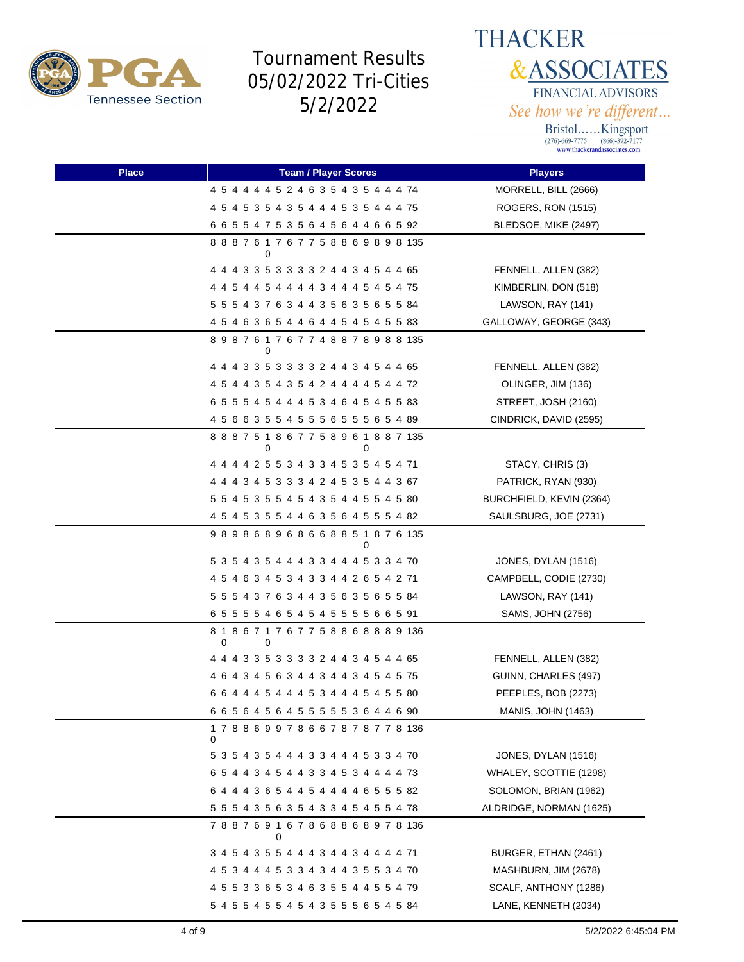



| <b>Place</b> | <b>Team / Player Scores</b>                       | <b>Players</b>            |
|--------------|---------------------------------------------------|---------------------------|
|              | 4 5 4 4 4 4 5 2 4 6 3 5 4 3 5 4 4 4 74            | MORRELL, BILL (2666)      |
|              | 4 5 4 5 3 5 4 3 5 4 4 4 5 3 5 4 4 4 75            | ROGERS, RON (1515)        |
|              | 6 6 5 5 4 7 5 3 5 6 4 5 6 4 4 6 6 5 92            | BLEDSOE, MIKE (2497)      |
|              | 8 8 8 7 6 1 7 6 7 7 5 8 8 6 9 8 9 8 135<br>0      |                           |
|              | 4 4 4 3 3 5 3 3 3 3 2 4 4 3 4 5 4 4 65            | FENNELL, ALLEN (382)      |
|              | 4 4 5 4 4 5 4 4 4 4 3 4 4 4 5 4 5 4 75            | KIMBERLIN, DON (518)      |
|              | 5 5 5 4 3 7 6 3 4 4 3 5 6 3 5 6 5 5 84            | LAWSON, RAY (141)         |
|              | 4 5 4 6 3 6 5 4 4 6 4 4 5 4 5 4 5 5 83            | GALLOWAY, GEORGE (343)    |
|              | 898761767748878988135<br>0                        |                           |
|              | 4 4 4 3 3 5 3 3 3 3 2 4 4 3 4 5 4 4 65            | FENNELL, ALLEN (382)      |
|              | 4 5 4 4 3 5 4 3 5 4 2 4 4 4 4 5 4 4 72            | OLINGER, JIM (136)        |
|              | 6 5 5 5 4 5 4 4 4 5 3 4 6 4 5 4 5 5 83            | STREET, JOSH (2160)       |
|              | 4 5 6 6 3 5 5 4 5 5 5 6 5 5 5 6 5 4 89            | CINDRICK, DAVID (2595)    |
|              | 888751867758961887135<br>0<br>0                   |                           |
|              | 4 4 4 4 2 5 5 3 4 3 3 4 5 3 5 4 5 4 71            | STACY, CHRIS (3)          |
|              | 4 4 4 3 4 5 3 3 3 4 2 4 5 3 5 4 4 3 67            | PATRICK, RYAN (930)       |
|              | 5 5 4 5 3 5 5 4 5 4 3 5 4 4 5 5 4 5 80            | BURCHFIELD, KEVIN (2364)  |
|              | 4 5 4 5 3 5 5 4 4 6 3 5 6 4 5 5 5 4 82            | SAULSBURG, JOE (2731)     |
|              | 989868968668851876135<br>0                        |                           |
|              | 5 3 5 4 3 5 4 4 4 3 3 4 4 4 5 3 3 4 70            | JONES, DYLAN (1516)       |
|              | 4 5 4 6 3 4 5 3 4 3 3 4 4 2 6 5 4 2 71            | CAMPBELL, CODIE (2730)    |
|              | 5 5 5 4 3 7 6 3 4 4 3 5 6 3 5 6 5 5 84            | LAWSON, RAY (141)         |
|              | 6 5 5 5 5 4 6 5 4 5 4 5 5 5 5 6 6 5 91            | SAMS, JOHN (2756)         |
|              | 8 1 8 6 7 1 7 6 7 7 5 8 8 6 8 8 8 9 136<br>0<br>0 |                           |
|              | 4 4 4 3 3 5 3 3 3 3 2 4 4 3 4 5 4 4 65            | FENNELL, ALLEN (382)      |
|              | 4 6 4 3 4 5 6 3 4 4 3 4 4 3 4 5 4 5 75            | GUINN, CHARLES (497)      |
|              | 6 6 4 4 4 5 4 4 4 5 3 4 4 4 5 4 5 5 80            | PEEPLES, BOB (2273)       |
|              | 6 6 5 6 4 5 6 4 5 5 5 5 5 5 3 6 4 4 6 90          | <b>MANIS, JOHN (1463)</b> |
|              | 1 7 8 8 6 9 9 7 8 6 6 7 8 7 8 7 7 8 136<br>0      |                           |
|              | 5 3 5 4 3 5 4 4 4 3 3 4 4 4 5 3 3 4 70            | JONES, DYLAN (1516)       |
|              | 6 5 4 4 3 4 5 4 4 3 3 4 5 3 4 4 4 4 73            | WHALEY, SCOTTIE (1298)    |
|              | 6 4 4 4 3 6 5 4 4 5 4 4 4 4 6 5 5 5 82            | SOLOMON, BRIAN (1962)     |
|              | 5 5 5 4 3 5 6 3 5 4 3 3 4 5 4 5 5 4 78            | ALDRIDGE, NORMAN (1625)   |
|              | 788769167868868978136<br>0                        |                           |
|              | 3 4 5 4 3 5 5 4 4 4 3 4 4 3 4 4 4 4 71            | BURGER, ETHAN (2461)      |
|              | 4 5 3 4 4 4 5 3 3 4 3 4 4 3 5 5 3 4 70            | MASHBURN, JIM (2678)      |
|              | 4 5 5 3 3 6 5 3 4 6 3 5 5 4 4 5 5 4 79            | SCALF, ANTHONY (1286)     |
|              | 5 4 5 5 4 5 5 4 5 4 3 5 5 5 6 5 4 5 84            | LANE, KENNETH (2034)      |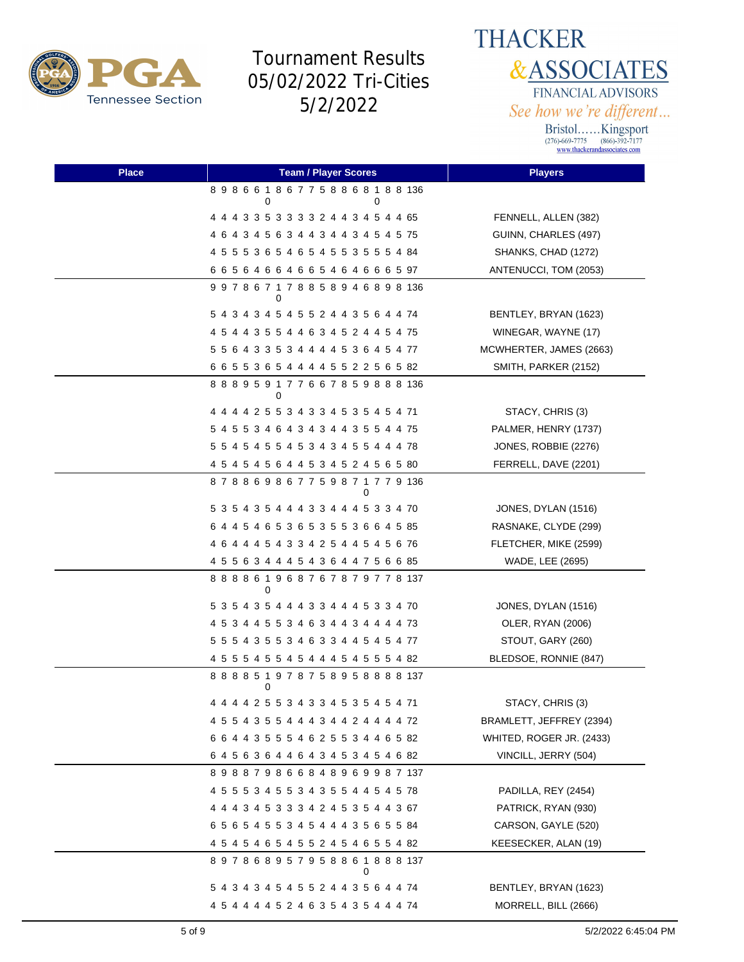

**THACKER &ASSOCIATES** FINANCIAL ADVISORS See how we're different...

| <b>Place</b> | <b>Team / Player Scores</b>                  | <b>Players</b>           |
|--------------|----------------------------------------------|--------------------------|
|              | 898661867758868188136<br>0<br>0              |                          |
|              | 4 4 4 3 3 5 3 3 3 3 2 4 4 3 4 5 4 4 65       | FENNELL, ALLEN (382)     |
|              | 4 6 4 3 4 5 6 3 4 4 3 4 4 3 4 5 4 5 75       | GUINN, CHARLES (497)     |
|              | 4 5 5 5 3 6 5 4 6 5 4 5 5 3 5 5 5 4 84       | SHANKS, CHAD (1272)      |
|              | 6 6 5 6 4 6 6 4 6 6 5 4 6 4 6 6 6 5 97       | ANTENUCCI, TOM (2053)    |
|              | 997867178858946898136<br>0                   |                          |
|              | 5 4 3 4 3 4 5 4 5 5 2 4 4 3 5 6 4 4 74       | BENTLEY, BRYAN (1623)    |
|              | 4 5 4 4 3 5 5 4 4 6 3 4 5 2 4 4 5 4 75       | WINEGAR, WAYNE (17)      |
|              | 5 5 6 4 3 3 5 3 4 4 4 4 5 3 6 4 5 4 77       | MCWHERTER, JAMES (2663)  |
|              | 6 6 5 5 3 6 5 4 4 4 4 5 5 2 2 5 6 5 82       | SMITH, PARKER (2152)     |
|              | 8 8 8 9 5 9 1 7 7 6 6 7 8 5 9 8 8 8 136<br>0 |                          |
|              | 4 4 4 4 2 5 5 3 4 3 3 4 5 3 5 4 5 4 71       | STACY, CHRIS (3)         |
|              | 5 4 5 5 3 4 6 4 3 4 3 4 4 3 5 5 4 4 75       | PALMER, HENRY (1737)     |
|              | 5 5 4 5 4 5 5 4 5 3 4 3 4 5 5 4 4 4 78       | JONES, ROBBIE (2276)     |
|              | 4 5 4 5 4 5 6 4 4 5 3 4 5 2 4 5 6 5 80       | FERRELL, DAVE (2201)     |
|              | 878869867759871779136                        |                          |
|              | 5 3 5 4 3 5 4 4 4 3 3 4 4 4 5 3 3 4 70       | JONES, DYLAN (1516)      |
|              | 6 4 4 5 4 6 5 3 6 5 3 5 5 3 6 6 4 5 85       | RASNAKE, CLYDE (299)     |
|              | 4 6 4 4 4 5 4 3 3 4 2 5 4 4 5 4 5 6 76       | FLETCHER, MIKE (2599)    |
|              | 4 5 5 6 3 4 4 4 5 4 3 6 4 4 7 5 6 6 85       | WADE, LEE (2695)         |
|              | 8 8 8 8 6 1 9 6 8 7 6 7 8 7 9 7 7 8 137<br>0 |                          |
|              | 5 3 5 4 3 5 4 4 4 3 3 4 4 4 5 3 3 4 70       | JONES, DYLAN (1516)      |
|              | 4 5 3 4 4 5 5 3 4 6 3 4 4 3 4 4 4 4 73       | OLER, RYAN (2006)        |
|              | 5 5 5 4 3 5 5 3 4 6 3 3 4 4 5 4 5 4 77       | STOUT, GARY (260)        |
|              | 4 5 5 5 4 5 5 4 5 4 4 4 5 4 5 5 5 4 82       | BLEDSOE, RONNIE (847)    |
|              | 8 8 8 8 5 1 9 7 8 7 5 8 9 5 8 8 8 8 137<br>0 |                          |
|              |                                              | STACY, CHRIS (3)         |
|              | 4 5 5 4 3 5 5 4 4 4 3 4 4 2 4 4 4 4 72       | BRAMLETT, JEFFREY (2394) |
|              | 6 6 4 4 3 5 5 5 4 6 2 5 5 3 4 4 6 5 82       | WHITED, ROGER JR. (2433) |
|              | 6 4 5 6 3 6 4 4 6 4 3 4 5 3 4 5 4 6 82       | VINCILL, JERRY (504)     |
|              | 898879866848969987137                        |                          |
|              | 4 5 5 5 3 4 5 5 3 4 3 5 5 4 4 5 4 5 78       | PADILLA, REY (2454)      |
|              | 4 4 4 3 4 5 3 3 3 4 2 4 5 3 5 4 4 3 67       | PATRICK, RYAN (930)      |
|              | 6 5 6 5 4 5 5 3 4 5 4 4 4 3 5 6 5 5 84       | CARSON, GAYLE (520)      |
|              | 4 5 4 5 4 6 5 4 5 5 2 4 5 4 6 5 5 4 82       | KEESECKER, ALAN (19)     |
|              | 897868957958861888137<br>0                   |                          |
|              | 5 4 3 4 3 4 5 4 5 5 2 4 4 3 5 6 4 4 74       | BENTLEY, BRYAN (1623)    |
|              | 4 5 4 4 4 4 5 2 4 6 3 5 4 3 5 4 4 4 74       | MORRELL, BILL (2666)     |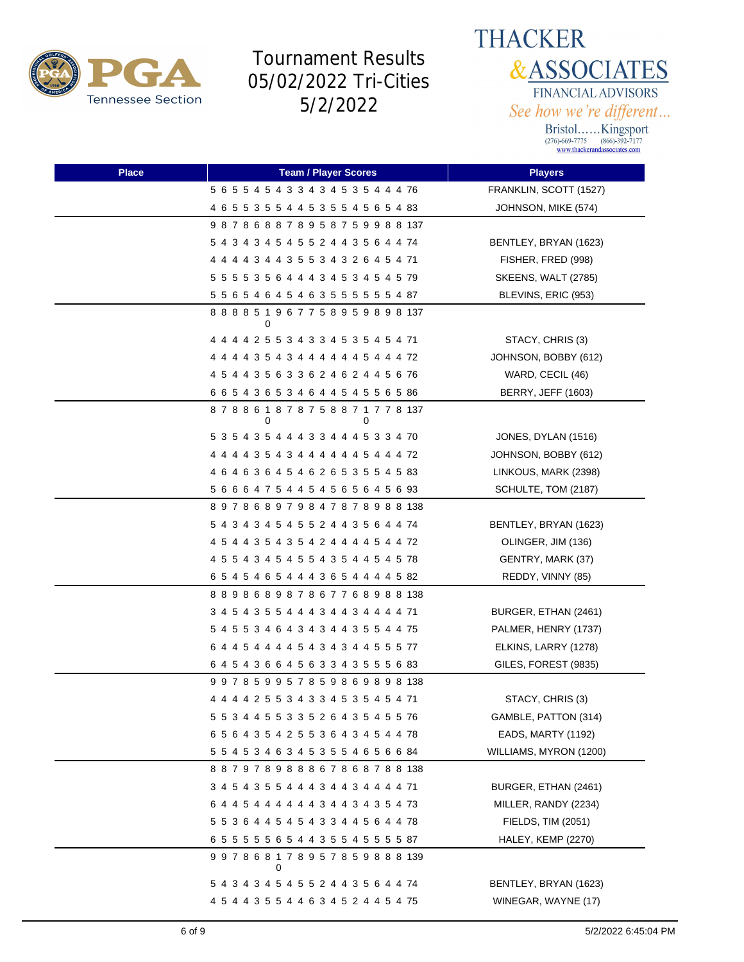



| <b>Place</b> | <b>Team / Player Scores</b>                       | <b>Players</b>             |
|--------------|---------------------------------------------------|----------------------------|
|              | 5 6 5 5 4 5 4 3 3 4 3 4 5 3 5 4 4 4 76            | FRANKLIN, SCOTT (1527)     |
|              | 4 6 5 5 3 5 5 4 4 5 3 5 5 4 5 6 5 4 83            | JOHNSON, MIKE (574)        |
|              | 987868878958759988137                             |                            |
|              | 5 4 3 4 3 4 5 4 5 5 2 4 4 3 5 6 4 4 74            | BENTLEY, BRYAN (1623)      |
|              | 4 4 4 4 3 4 4 3 5 5 3 4 3 2 6 4 5 4 71            | FISHER, FRED (998)         |
|              | 5 5 5 5 3 5 6 4 4 4 3 4 5 3 4 5 4 5 79            | <b>SKEENS, WALT (2785)</b> |
|              | 5 5 6 5 4 6 4 5 4 6 3 5 5 5 5 5 5 4 87            | BLEVINS, ERIC (953)        |
|              | 8 8 8 8 5 1 9 6 7 7 5 8 9 5 9 8 9 8 137<br>0      |                            |
|              | 4 4 4 4 2 5 5 3 4 3 3 4 5 3 5 4 5 4 71            | STACY, CHRIS (3)           |
|              | 4 4 4 4 3 5 4 3 4 4 4 4 4 4 5 4 4 4 72            | JOHNSON, BOBBY (612)       |
|              | 4 5 4 4 3 5 6 3 3 6 2 4 6 2 4 4 5 6 76            | WARD, CECIL (46)           |
|              | 6 6 5 4 3 6 5 3 4 6 4 4 5 4 5 5 6 5 86            | <b>BERRY, JEFF (1603)</b>  |
|              | 8 7 8 8 6 1 8 7 8 7 5 8 8 7 1 7 7 8 137<br>0<br>0 |                            |
|              | 5 3 5 4 3 5 4 4 4 3 3 4 4 4 5 3 3 4 70            | JONES, DYLAN (1516)        |
|              | 4 4 4 4 3 5 4 3 4 4 4 4 4 4 5 4 4 4 72            | JOHNSON, BOBBY (612)       |
|              | 4 6 4 6 3 6 4 5 4 6 2 6 5 3 5 5 4 5 83            | LINKOUS, MARK (2398)       |
|              | 5 6 6 6 4 7 5 4 4 5 4 5 6 5 6 4 5 6 93            | SCHULTE, TOM (2187)        |
|              | 897868979847878988138                             |                            |
|              | 5 4 3 4 3 4 5 4 5 5 2 4 4 3 5 6 4 4 74            | BENTLEY, BRYAN (1623)      |
|              | 4 5 4 4 3 5 4 3 5 4 2 4 4 4 4 5 4 4 72            | OLINGER, JIM (136)         |
|              | 4 5 5 4 3 4 5 4 5 5 4 3 5 4 4 5 4 5 78            | GENTRY, MARK (37)          |
|              | 6 5 4 5 4 6 5 4 4 4 3 6 5 4 4 4 4 5 82            | REDDY, VINNY (85)          |
|              | 889868987867768988138                             |                            |
|              | 3 4 5 4 3 5 5 4 4 4 3 4 4 3 4 4 4 4 71            | BURGER, ETHAN (2461)       |
|              | 5 4 5 5 3 4 6 4 3 4 3 4 4 3 5 5 4 4 75            | PALMER, HENRY (1737)       |
|              | 6 4 4 5 4 4 4 4 5 4 3 4 3 4 4 5 5 5 77            | ELKINS, LARRY (1278)       |
|              | 6 4 5 4 3 6 6 4 5 6 3 3 4 3 5 5 5 6 83            | GILES, FOREST (9835)       |
|              | 997859957859869898138                             |                            |
|              | 4 4 4 4 2 5 5 3 4 3 3 4 5 3 5 4 5 4 71            | STACY, CHRIS (3)           |
|              | 5 5 3 4 4 5 5 3 3 5 2 6 4 3 5 4 5 5 76            | GAMBLE, PATTON (314)       |
|              | 6 5 6 4 3 5 4 2 5 5 3 6 4 3 4 5 4 4 78            | EADS, MARTY (1192)         |
|              | 5 5 4 5 3 4 6 3 4 5 3 5 5 4 6 5 6 6 84            | WILLIAMS, MYRON (1200)     |
|              | 887978988867868788138                             |                            |
|              | 3 4 5 4 3 5 5 4 4 4 3 4 4 3 4 4 4 4 71            | BURGER, ETHAN (2461)       |
|              | 6 4 4 5 4 4 4 4 4 4 3 4 4 3 4 3 5 4 73            | MILLER, RANDY (2234)       |
|              | 5 5 3 6 4 4 5 4 5 4 3 3 4 4 5 6 4 4 78            | FIELDS, TIM (2051)         |
|              | 6 5 5 5 5 5 6 5 4 4 3 5 5 4 5 5 5 5 87            | HALEY, KEMP (2270)         |
|              | 9 9 7 8 6 8 1 7 8 9 5 7 8 5 9 8 8 8 139<br>0      |                            |
|              | 5 4 3 4 3 4 5 4 5 5 2 4 4 3 5 6 4 4 74            | BENTLEY, BRYAN (1623)      |
|              | 4 5 4 4 3 5 5 4 4 6 3 4 5 2 4 4 5 4 75            | WINEGAR, WAYNE (17)        |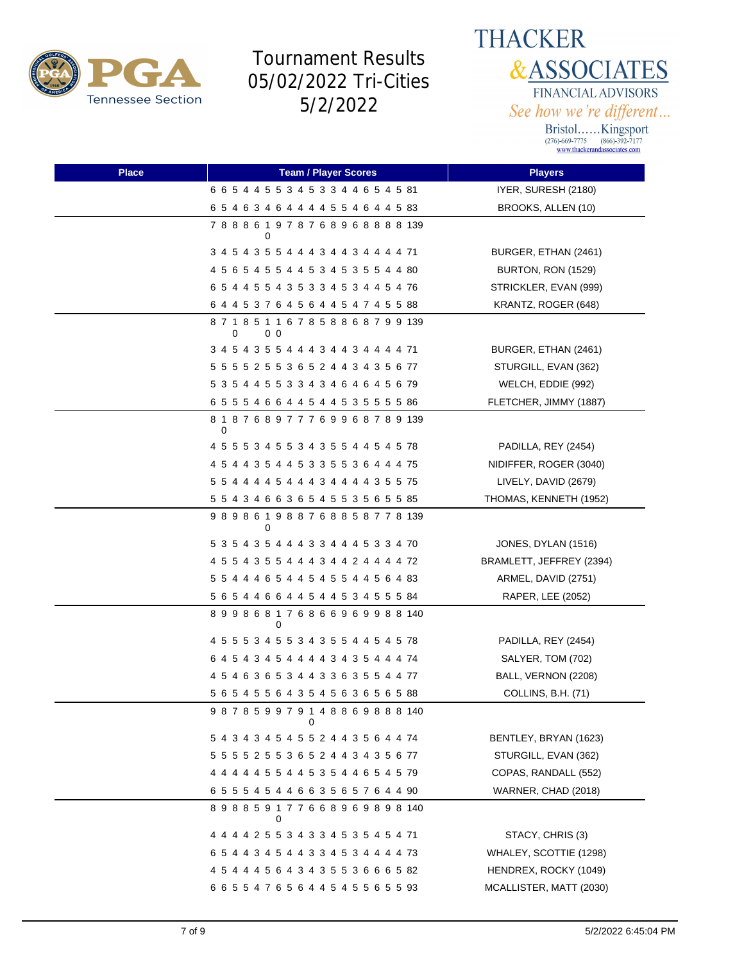



| <b>Place</b> | <b>Team / Player Scores</b>                                    | <b>Players</b>           |
|--------------|----------------------------------------------------------------|--------------------------|
|              | 6 6 5 4 4 5 5 3 4 5 3 3 4 4 6 5 4 5 81                         | IYER, SURESH (2180)      |
|              | 6 5 4 6 3 4 6 4 4 4 4 5 5 4 6 4 4 5 8 3                        | BROOKS, ALLEN (10)       |
|              | 788861978768968888139<br>0                                     |                          |
|              | 3 4 5 4 3 5 5 4 4 4 3 4 4 3 4 4 4 4 71                         | BURGER, ETHAN (2461)     |
|              | 4 5 6 5 4 5 5 4 4 5 3 4 5 3 5 5 4 4 80                         | BURTON, RON (1529)       |
|              | 6 5 4 4 5 5 4 3 5 3 3 4 5 3 4 4 5 4 76                         | STRICKLER, EVAN (999)    |
|              | 6 4 4 5 3 7 6 4 5 6 4 4 5 4 7 4 5 5 88                         | KRANTZ, ROGER (648)      |
|              | 8 7 1 8 5 1 1 6 7 8 5 8 8 6 8 7 9 9 139<br>0 <sub>0</sub><br>0 |                          |
|              | 3 4 5 4 3 5 5 4 4 4 3 4 4 3 4 4 4 4 71                         | BURGER, ETHAN (2461)     |
|              | 5 5 5 5 2 5 5 3 6 5 2 4 4 3 4 3 5 6 77                         | STURGILL, EVAN (362)     |
|              | 5 3 5 4 4 5 5 3 3 4 3 4 6 4 6 4 5 6 79                         | WELCH, EDDIE (992)       |
|              | 6 5 5 5 4 6 6 4 4 5 4 4 5 3 5 5 5 5 8 8 6                      | FLETCHER, JIMMY (1887)   |
|              | 8 1 8 7 6 8 9 7 7 7 6 9 9 6 8 7 8 9 139<br>0                   |                          |
|              | 4 5 5 5 3 4 5 5 3 4 3 5 5 4 4 5 4 5 78                         | PADILLA, REY (2454)      |
|              | 4 5 4 4 3 5 4 4 5 3 3 5 5 3 6 4 4 4 75                         | NIDIFFER, ROGER (3040)   |
|              | 5 5 4 4 4 4 5 4 4 4 3 4 4 4 4 3 5 5 75                         | LIVELY, DAVID (2679)     |
|              | 5 5 4 3 4 6 6 3 6 5 4 5 5 3 5 6 5 5 85                         | THOMAS, KENNETH (1952)   |
|              | 9 8 9 8 6 1 9 8 8 7 6 8 8 5 8 7 7 8 139<br>0                   |                          |
|              | 5 3 5 4 3 5 4 4 4 3 3 4 4 4 5 3 3 4 70                         | JONES, DYLAN (1516)      |
|              | 4 5 5 4 3 5 5 4 4 4 3 4 4 2 4 4 4 4 72                         | BRAMLETT, JEFFREY (2394) |
|              | 5 5 4 4 4 6 5 4 4 5 4 5 5 4 4 5 6 4 83                         | ARMEL, DAVID (2751)      |
|              | 5 6 5 4 4 6 6 4 4 5 4 4 5 3 4 5 5 5 84                         | RAPER, LEE (2052)        |
|              | 899868176866969988140<br>0                                     |                          |
|              | 4 5 5 5 3 4 5 5 3 4 3 5 5 4 4 5 4 5 78                         | PADILLA, REY (2454)      |
|              | 6 4 5 4 3 4 5 4 4 4 4 3 4 3 5 4 4 4 74                         | SALYER, TOM (702)        |
|              | 4 5 4 6 3 6 5 3 4 4 3 3 6 3 5 5 4 4 77                         | BALL, VERNON (2208)      |
|              | 5 6 5 4 5 5 6 4 3 5 4 5 6 3 6 5 6 5 88                         | COLLINS, B.H. (71)       |
|              | 987859979148869888140<br>0                                     |                          |
|              | 5 4 3 4 3 4 5 4 5 5 2 4 4 3 5 6 4 4 74                         | BENTLEY, BRYAN (1623)    |
|              | 5 5 5 5 2 5 5 3 6 5 2 4 4 3 4 3 5 6 77                         | STURGILL, EVAN (362)     |
|              | 4 4 4 4 4 5 5 4 4 5 3 5 4 4 6 5 4 5 79                         | COPAS, RANDALL (552)     |
|              | 6 5 5 5 4 5 4 4 6 6 3 5 6 5 7 6 4 4 90                         | WARNER, CHAD (2018)      |
|              | 898859177668969898140<br>0                                     |                          |
|              | 4 4 4 4 2 5 5 3 4 3 3 4 5 3 5 4 5 4 71                         | STACY, CHRIS (3)         |
|              | 6 5 4 4 3 4 5 4 4 3 3 4 5 3 4 4 4 4 73                         | WHALEY, SCOTTIE (1298)   |
|              | 4 5 4 4 4 5 6 4 3 4 3 5 5 3 6 6 6 5 82                         | HENDREX, ROCKY (1049)    |
|              | 6 6 5 5 4 7 6 5 6 4 4 5 4 5 5 6 5 5 93                         | MCALLISTER, MATT (2030)  |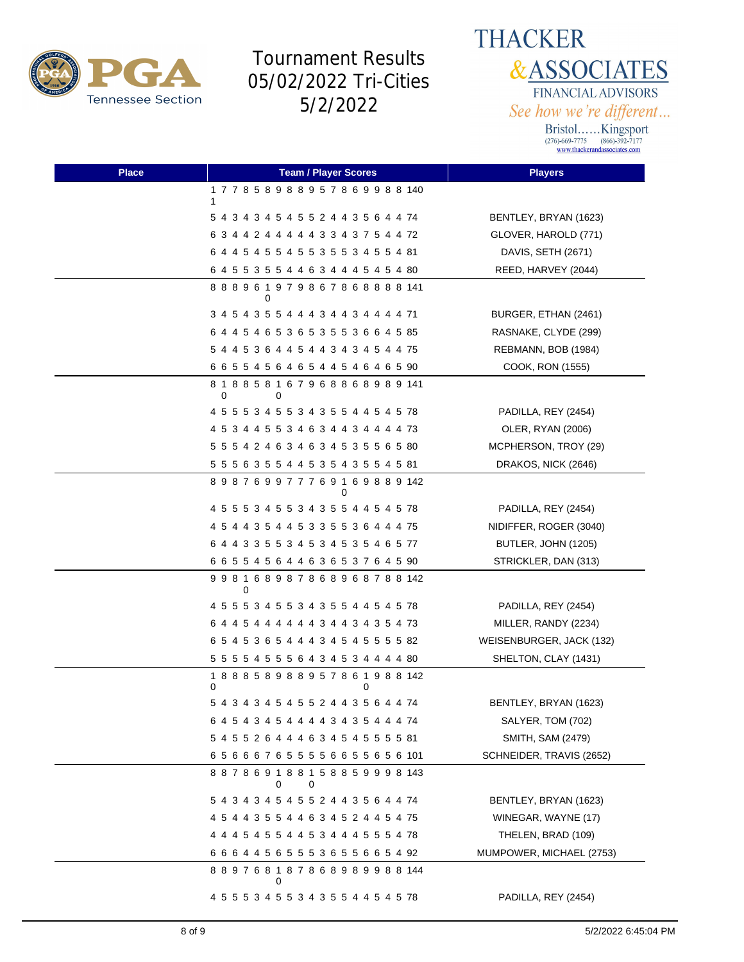

**THACKER &ASSOCIATES** FINANCIAL ADVISORS See how we're different...

| <b>Place</b> | <b>Team / Player Scores</b>                       | <b>Players</b>           |
|--------------|---------------------------------------------------|--------------------------|
|              | 177858988957869988140<br>1                        |                          |
|              | 5 4 3 4 3 4 5 4 5 5 2 4 4 3 5 6 4 4 74            | BENTLEY, BRYAN (1623)    |
|              | 6 3 4 4 2 4 4 4 4 4 3 3 4 3 7 5 4 4 72            | GLOVER, HAROLD (771)     |
|              | 6 4 4 5 4 5 5 4 5 5 3 5 5 3 4 5 5 4 81            | DAVIS, SETH (2671)       |
|              | 6 4 5 5 3 5 5 4 4 6 3 4 4 4 5 4 5 4 80            | REED, HARVEY (2044)      |
|              | 888961979867868888141<br>0                        |                          |
|              | 3 4 5 4 3 5 5 4 4 4 3 4 4 3 4 4 4 4 71            | BURGER, ETHAN (2461)     |
|              | 6 4 4 5 4 6 5 3 6 5 3 5 5 3 6 6 4 5 85            | RASNAKE, CLYDE (299)     |
|              | 5 4 4 5 3 6 4 4 5 4 4 3 4 3 4 5 4 4 75            | REBMANN, BOB (1984)      |
|              | 6 6 5 5 4 5 6 4 6 5 4 4 5 4 6 4 6 5 90            | COOK, RON (1555)         |
|              | 8 1 8 8 5 8 1 6 7 9 6 8 8 6 8 9 8 9 141<br>0<br>0 |                          |
|              | 4 5 5 5 3 4 5 5 3 4 3 5 5 4 4 5 4 5 78            | PADILLA, REY (2454)      |
|              | 4 5 3 4 4 5 5 3 4 6 3 4 4 3 4 4 4 4 73            | OLER, RYAN (2006)        |
|              | 5 5 5 4 2 4 6 3 4 6 3 4 5 3 5 5 6 5 80            | MCPHERSON, TROY (29)     |
|              | 5 5 5 6 3 5 5 4 4 5 3 5 4 3 5 5 4 5 81            | DRAKOS, NICK (2646)      |
|              | 898769977769169889142<br>0                        |                          |
|              | 4 5 5 5 3 4 5 5 3 4 3 5 5 4 4 5 4 5 78            | PADILLA, REY (2454)      |
|              | 4 5 4 4 3 5 4 4 5 3 3 5 5 3 6 4 4 4 75            | NIDIFFER, ROGER (3040)   |
|              | 6 4 4 3 3 5 5 3 4 5 3 4 5 3 5 4 6 5 77            | BUTLER, JOHN (1205)      |
|              | 6 6 5 5 4 5 6 4 4 6 3 6 5 3 7 6 4 5 90            | STRICKLER, DAN (313)     |
|              | 998168987868968788142<br>0                        |                          |
|              | 4 5 5 5 3 4 5 5 3 4 3 5 5 4 4 5 4 5 78            | PADILLA, REY (2454)      |
|              | 6 4 4 5 4 4 4 4 4 4 3 4 4 3 4 3 5 4 73            | MILLER, RANDY (2234)     |
|              | 6 5 4 5 3 6 5 4 4 4 3 4 5 4 5 5 5 5 82            | WEISENBURGER, JACK (132) |
|              | 5 5 5 5 4 5 5 5 6 4 3 4 5 3 4 4 4 4 80            | SHELTON, CLAY (1431)     |
|              | 1 8 8 8 5 8 9 8 8 9 5 7 8 6 1 9 8 8 142<br>0<br>0 |                          |
|              | 5 4 3 4 3 4 5 4 5 5 2 4 4 3 5 6 4 4 74            | BENTLEY, BRYAN (1623)    |
|              | 6 4 5 4 3 4 5 4 4 4 4 3 4 3 5 4 4 4 74            | SALYER, TOM (702)        |
|              | 5 4 5 5 2 6 4 4 4 6 3 4 5 4 5 5 5 5 81            | SMITH, SAM (2479)        |
|              | 656667655556655656101                             | SCHNEIDER, TRAVIS (2652) |
|              | 8 8 7 8 6 9 1 8 8 1 5 8 8 5 9 9 9 8 143<br>0<br>0 |                          |
|              | 5 4 3 4 3 4 5 4 5 5 2 4 4 3 5 6 4 4 74            | BENTLEY, BRYAN (1623)    |
|              | 4 5 4 4 3 5 5 4 4 6 3 4 5 2 4 4 5 4 75            | WINEGAR, WAYNE (17)      |
|              | 4 4 4 5 4 5 5 4 4 5 3 4 4 4 5 5 5 4 78            | THELEN, BRAD (109)       |
|              | 6 6 6 4 4 5 6 5 5 5 3 6 5 5 6 6 5 4 92            | MUMPOWER, MICHAEL (2753) |
|              | 889768187868989988144<br>0                        |                          |
|              | 4 5 5 5 3 4 5 5 3 4 3 5 5 4 4 5 4 5 78            | PADILLA, REY (2454)      |